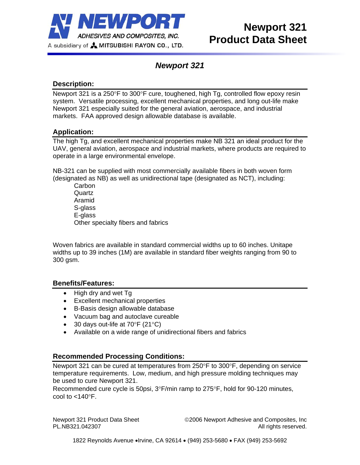

## *Newport 321*

## **Description:**

Newport 321 is a 250°F to 300°F cure, toughened, high Tg, controlled flow epoxy resin system. Versatile processing, excellent mechanical properties, and long out-life make Newport 321 especially suited for the general aviation, aerospace, and industrial markets. FAA approved design allowable database is available.

## **Application:**

The high Tg, and excellent mechanical properties make NB 321 an ideal product for the UAV, general aviation, aerospace and industrial markets, where products are required to operate in a large environmental envelope.

NB-321 can be supplied with most commercially available fibers in both woven form (designated as NB) as well as unidirectional tape (designated as NCT), including:

**Carbon Quartz** Aramid S-glass E-glass Other specialty fibers and fabrics

Woven fabrics are available in standard commercial widths up to 60 inches. Unitape widths up to 39 inches (1M) are available in standard fiber weights ranging from 90 to 300 gsm.

### **Benefits/Features:**

- High dry and wet Tg
- Excellent mechanical properties
- B-Basis design allowable database
- Vacuum bag and autoclave cureable
- 30 days out-life at  $70^{\circ}$ F (21 $^{\circ}$ C)
- Available on a wide range of unidirectional fibers and fabrics

### **Recommended Processing Conditions:**

Newport 321 can be cured at temperatures from 250°F to 300°F, depending on service temperature requirements. Low, medium, and high pressure molding techniques may be used to cure Newport 321.

Recommended cure cycle is 50psi, 3°F/min ramp to 275°F, hold for 90-120 minutes, cool to <140°F.

Newport 321 Product Data Sheet ©2006 Newport Adhesive and Composites, Inc PL.NB321.042307 **All rights reserved.**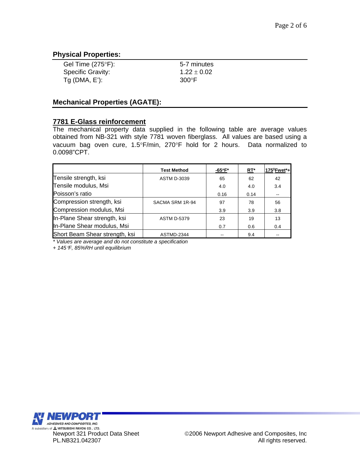## **Physical Properties:**

| Gel Time $(275^{\circ}F)$ : | 5-7 minutes     |
|-----------------------------|-----------------|
| <b>Specific Gravity:</b>    | $1.22 \pm 0.02$ |
| $Tg$ (DMA, E'):             | $300^{\circ}$ F |

### **Mechanical Properties (AGATE):**

### **7781 E-Glass reinforcement**

The mechanical property data supplied in the following table are average values obtained from NB-321 with style 7781 woven fiberglass. All values are based using a vacuum bag oven cure, 1.5°F/min, 270°F hold for 2 hours. Data normalized to 0.0098"CPT.

|                                | <b>Test Method</b> | -65°F* | $RT^*$ | $175^\circ$ Fwet*+ |
|--------------------------------|--------------------|--------|--------|--------------------|
| Tensile strength, ksi          | <b>ASTM D-3039</b> | 65     | 62     | 42                 |
| Tensile modulus, Msi           |                    | 4.0    | 4.0    | 3.4                |
| Poisson's ratio                |                    | 0.16   | 0.14   |                    |
| Compression strength, ksi      | SACMA SRM 1R-94    | 97     | 78     | 56                 |
| Compression modulus, Msi       |                    | 3.9    | 3.9    | 3.8                |
| In-Plane Shear strength, ksi   | <b>ASTM D-5379</b> | 23     | 19     | 13                 |
| In-Plane Shear modulus, Msi    |                    | 0.7    | 0.6    | 0.4                |
| Short Beam Shear strength, ksi | ASTMD-2344         |        | 9.4    |                    |

*\* Values are average and do not constitute a specification*

*+ 145*°*F, 85%RH until equilibrium* 

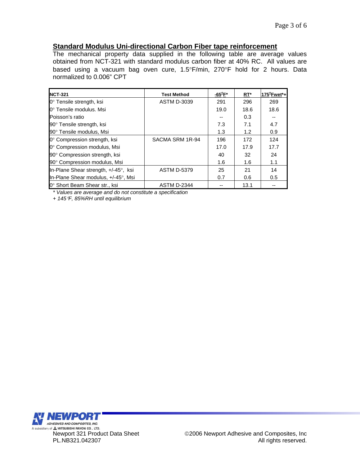### **Standard Modulus Uni-directional Carbon Fiber tape reinforcement**

The mechanical property data supplied in the following table are average values obtained from NCT-321 with standard modulus carbon fiber at 40% RC. All values are based using a vacuum bag oven cure, 1.5°F/min, 270°F hold for 2 hours. Data normalized to 0.006" CPT

| <b>NCT-321</b>                       | <b>Test Method</b> | -65°F* | $RT^*$ | $175^{\circ}$ Fwet*+ |
|--------------------------------------|--------------------|--------|--------|----------------------|
| 0° Tensile strength, ksi             | <b>ASTM D-3039</b> | 291    | 296    | 269                  |
| l0° Tensile modulus. Msi             |                    | 19.0   | 18.6   | 18.6                 |
| Poisson's ratio                      |                    |        | 0.3    |                      |
| 90° Tensile strength, ksi            |                    | 7.3    | 7.1    | 4.7                  |
| 90° Tensile modulus, Msi             |                    | 1.3    | 1.2    | 0.9                  |
| 0° Compression strength, ksi         | SACMA SRM 1R-94    | 196    | 172    | 124                  |
| 0° Compression modulus, Msi          |                    | 17.0   | 17.9   | 17.7                 |
| 90° Compression strength, ksi        |                    | 40     | 32     | 24                   |
| 90° Compression modulus, Msi         |                    | 1.6    | 1.6    | 1.1                  |
| In-Plane Shear strength, +/-45°, ksi | <b>ASTM D-5379</b> | 25     | 21     | 14                   |
| In-Plane Shear modulus, +/-45°, Msi  |                    | 0.7    | 0.6    | 0.5                  |
| 0° Short Beam Shear str., ksi        | <b>ASTM D-2344</b> |        | 13.1   |                      |

*\* Values are average and do not constitute a specification*

*+ 145*°*F, 85%RH until equilibrium* 

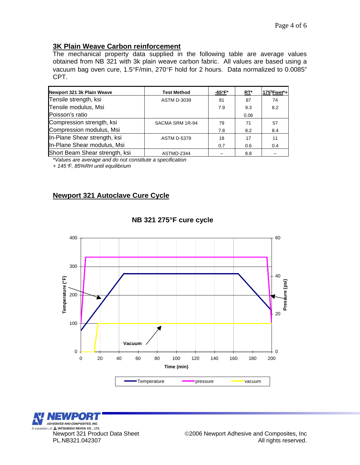# **3K Plain Weave Carbon reinforcement**

The mechanical property data supplied in the following table are average values obtained from NB 321 with 3k plain weave carbon fabric. All values are based using a vacuum bag oven cure, 1.5°F/min, 270°F hold for 2 hours. Data normalized to 0.0085" CPT.

| Newport 321 3k Plain Weave     | <b>Test Method</b> | -65°F* | RT*  | $175^{\circ}$ Fwet*+ |
|--------------------------------|--------------------|--------|------|----------------------|
| Tensile strength, ksi          | <b>ASTM D-3039</b> | 81     | 87   | 74                   |
| Tensile modulus, Msi           |                    | 7.9    | 9.3  | 8.2                  |
| Poisson's ratio                |                    |        | 0.06 |                      |
| Compression strength, ksi      | SACMA SRM 1R-94    | 79     | 71   | 57                   |
| Compression modulus, Msi       |                    | 7.8    | 8.2  | 8.4                  |
| In-Plane Shear strength, ksi   | <b>ASTM D-5379</b> | 18     | 17   | 11                   |
| In-Plane Shear modulus, Msi    |                    | 0.7    | 0.6  | 0.4                  |
| Short Beam Shear strength, ksi | ASTMD-2344         |        | 8.8  |                      |

*\*Values are average and do not constitute a specification* 

*+ 145*°*F, 85%RH until equilibrium* 

## **Newport 321 Autoclave Cure Cycle**



### **NB 321 275°F cure cycle**

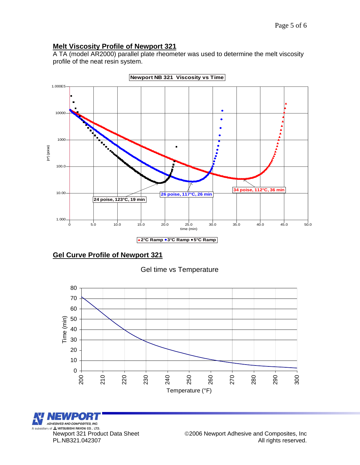## **Melt Viscosity Profile of Newport 321**

A TA (model AR2000) parallel plate rheometer was used to determine the melt viscosity profile of the neat resin system.



**Newport NB 321 Viscosity vs Time**

## **Gel Curve Profile of Newport 321**

## Gel time vs Temperature